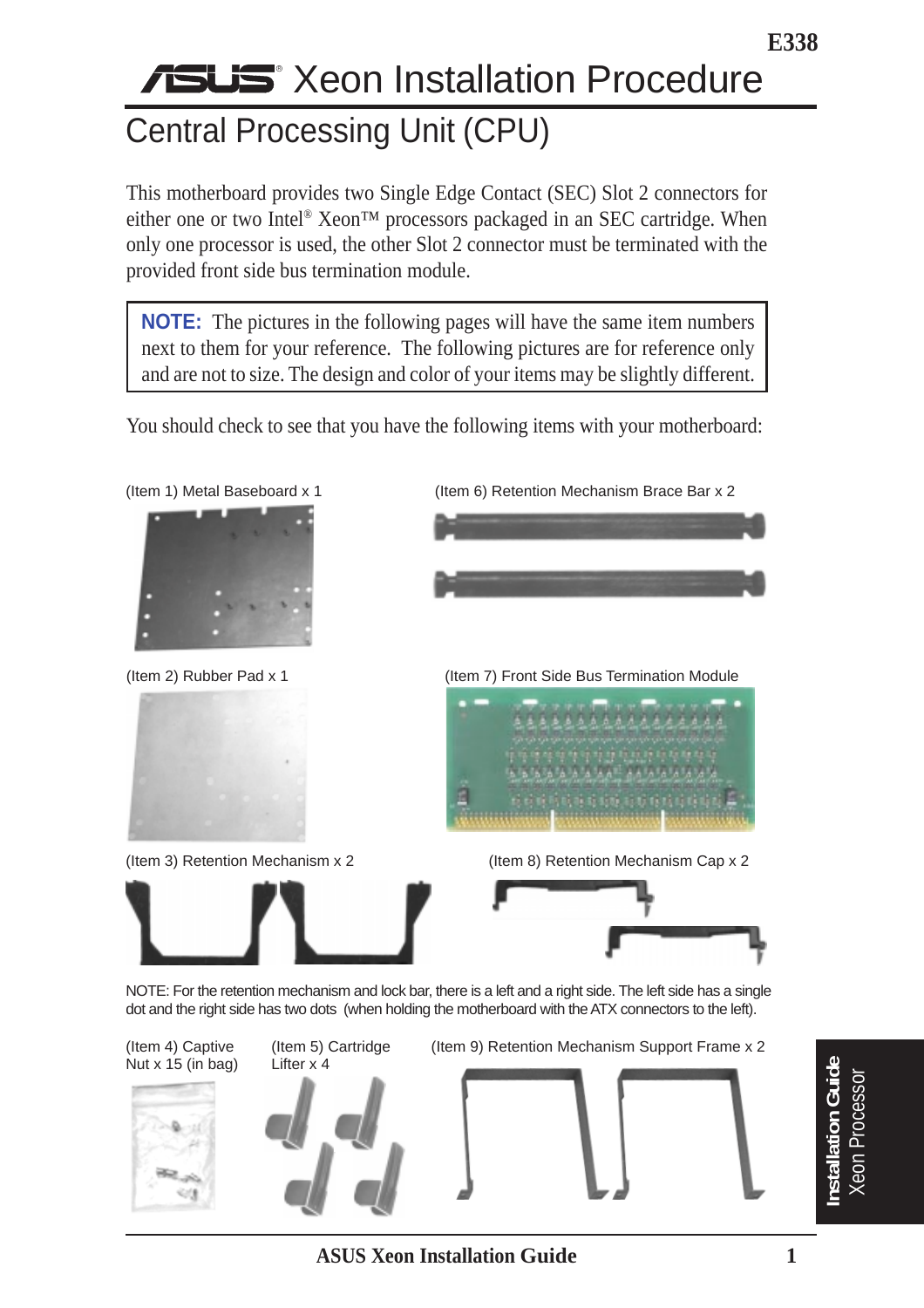# **Xeon Installation Procedure** Central Processing Unit (CPU)

This motherboard provides two Single Edge Contact (SEC) Slot 2 connectors for either one or two Intel<sup>®</sup> Xeon™ processors packaged in an SEC cartridge. When only one processor is used, the other Slot 2 connector must be terminated with the provided front side bus termination module.

**NOTE:** The pictures in the following pages will have the same item numbers next to them for your reference. The following pictures are for reference only and are not to size. The design and color of your items may be slightly different.

You should check to see that you have the following items with your motherboard:



**E338**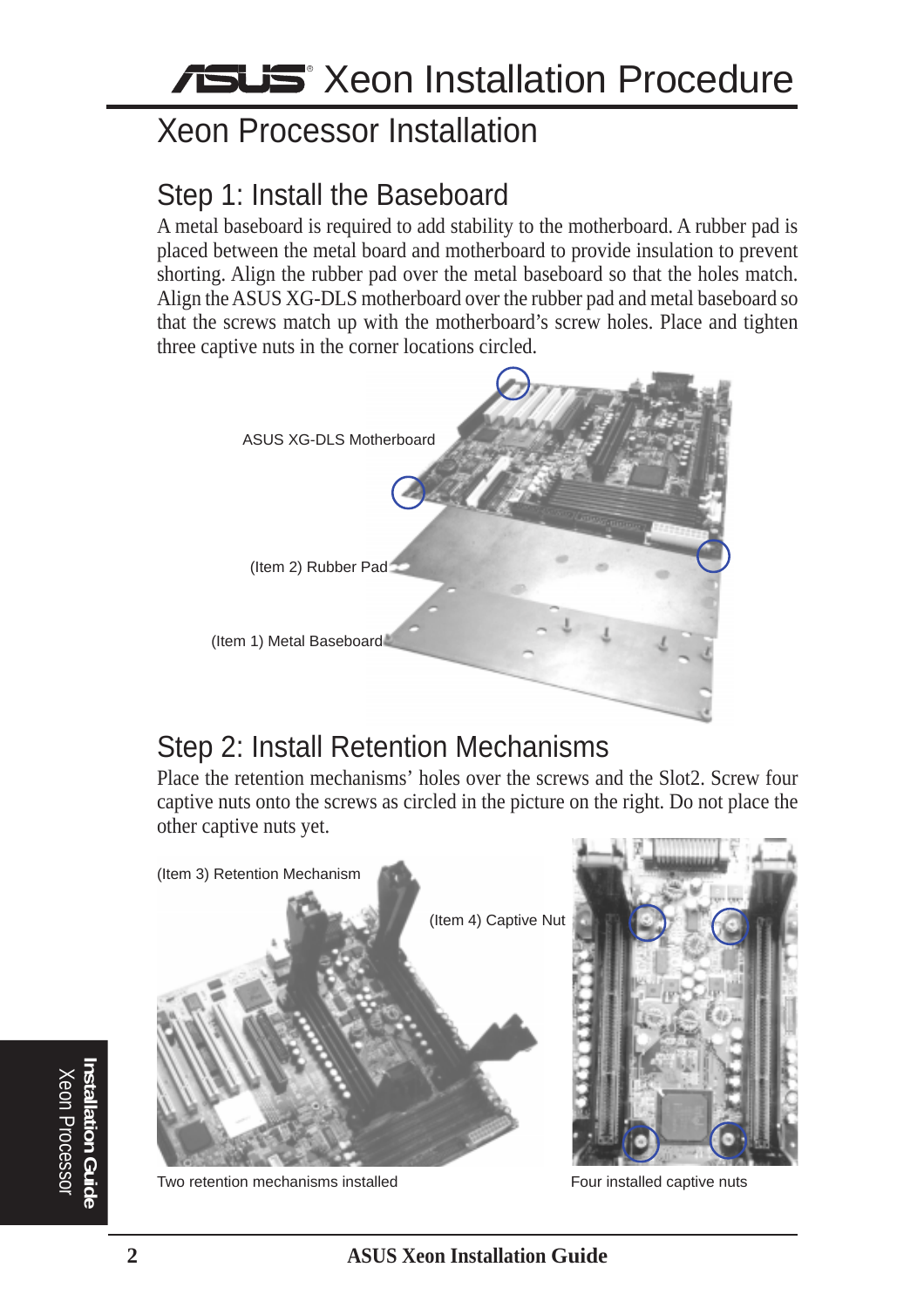# Xeon Processor Installation

#### Step 1: Install the Baseboard

A metal baseboard is required to add stability to the motherboard. A rubber pad is placed between the metal board and motherboard to provide insulation to prevent shorting. Align the rubber pad over the metal baseboard so that the holes match. Align the ASUS XG-DLS motherboard over the rubber pad and metal baseboard so that the screws match up with the motherboard's screw holes. Place and tighten three captive nuts in the corner locations circled.



#### Step 2: Install Retention Mechanisms

Place the retention mechanisms' holes over the screws and the Slot2. Screw four captive nuts onto the screws as circled in the picture on the right. Do not place the other captive nuts yet.



Two retention mechanisms installed

Four installed captive nuts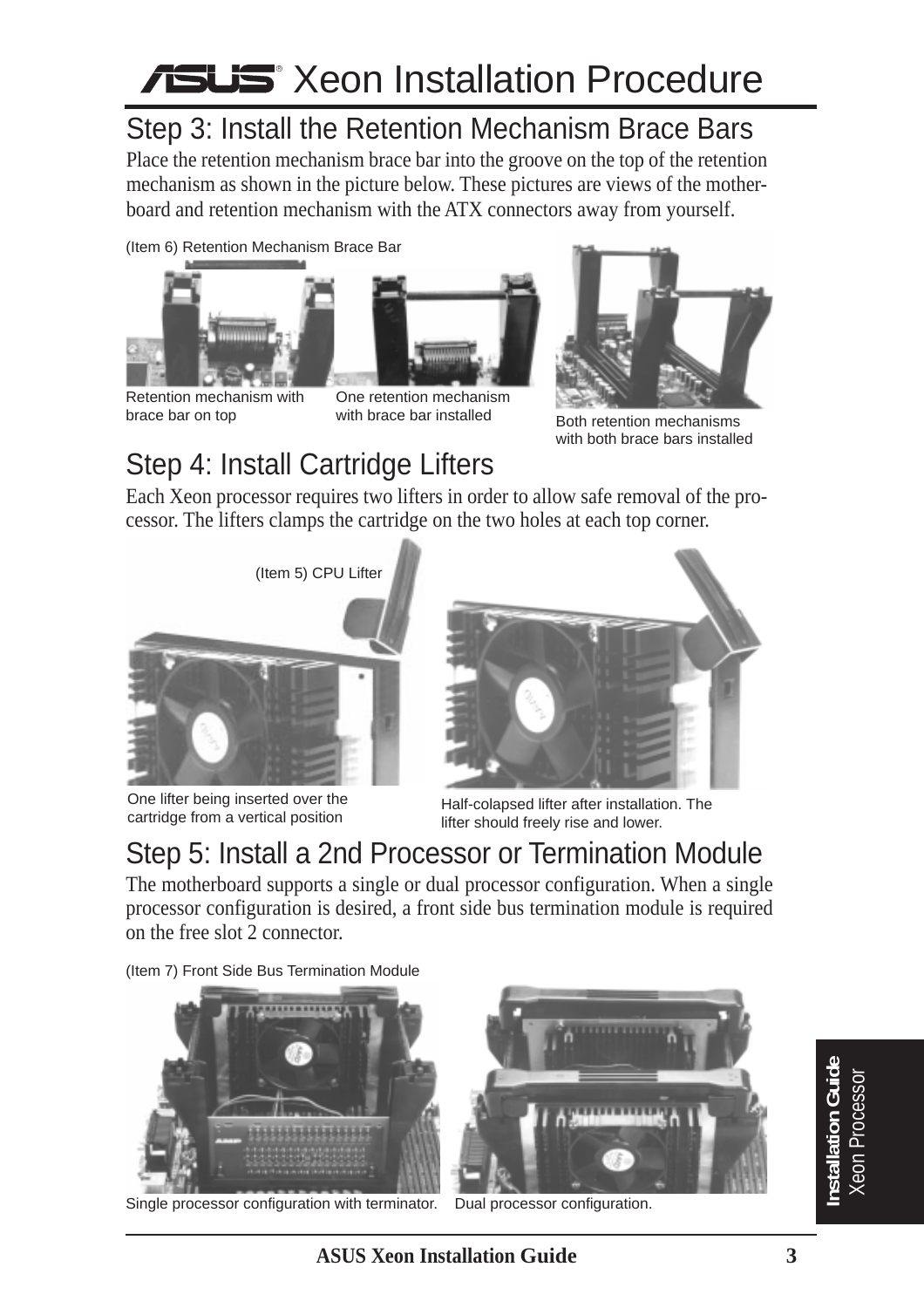# **Xeon Installation Procedure**

## Step 3: Install the Retention Mechanism Brace Bars

Place the retention mechanism brace bar into the groove on the top of the retention mechanism as shown in the picture below. These pictures are views of the motherboard and retention mechanism with the ATX connectors away from yourself.

(Item 6) Retention Mechanism Brace Bar



brace bar on top





with brace bar installed **Both retention mechanisms** with both brace bars installed

## Step 4: Install Cartridge Lifters

Each Xeon processor requires two lifters in order to allow safe removal of the processor. The lifters clamps the cartridge on the two holes at each top corner.



One lifter being inserted over the cartridge from a vertical position



Half-colapsed lifter after installation. The lifter should freely rise and lower.

## Step 5: Install a 2nd Processor or Termination Module

The motherboard supports a single or dual processor configuration. When a single processor configuration is desired, a front side bus termination module is required on the free slot 2 connector.

(Item 7) Front Side Bus Termination Module



Single processor configuration with terminator.



Dual processor configuration.